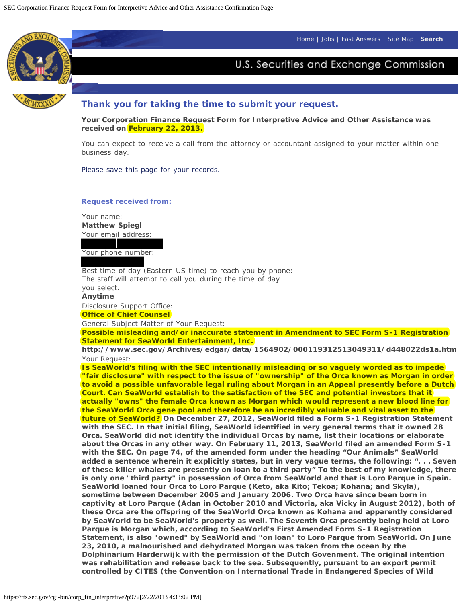[Home](#page-0-0) | [Jobs](#page-0-0) | [Fast Answers](#page-0-0) | [Site Map](#page-0-0) | **[Search](#page-0-0)**

<span id="page-0-0"></span>

# U.S. Securities and Exchange Commission



### **Thank you for taking the time to submit your request.**

**Your Corporation Finance Request Form for Interpretive Advice and Other Assistance was received on February 22, 2013.**

You can expect to receive a call from the attorney or accountant assigned to your matter within one business day.

*Please save this page for your records.*

### **Request received from:**

Your name: **Matthew Spiegl** Your email address:

Your phone number:

Best time of day (Eastern US time) to reach you by phone: The staff will attempt to call you during the time of day you select.

**Anytime** Disclosure Support Office:

# **Office of Chief Counsel**

General Subject Matter of Your Request:

**Possible misleading and/or inaccurate statement in Amendment to SEC Form S-1 Registration Statement for SeaWorld Entertainment, Inc.**

**http://www.sec.gov/Archives/edgar/data/1564902/000119312513049311/d448022ds1a.htm** Your Request:

**Is SeaWorld's filing with the SEC intentionally misleading or so vaguely worded as to impede "fair disclosure" with respect to the issue of "ownership" of the Orca known as Morgan in order to avoid a possible unfavorable legal ruling about Morgan in an Appeal presently before a Dutch Court. Can SeaWorld establish to the satisfaction of the SEC and potential investors that it actually "owns" the female Orca known as Morgan which would represent a new blood line for the SeaWorld Orca gene pool and therefore be an incredibly valuable and vital asset to the future of SeaWorld? On December 27, 2012, SeaWorld filed a Form S-1 Registration Statement with the SEC. In that initial filing, SeaWorld identified in very general terms that it owned 28 Orca. SeaWorld did not identify the individual Orcas by name, list their locations or elaborate about the Orcas in any other way. On February 11, 2013, SeaWorld filed an amended Form S-1 with the SEC. On page 74, of the amended form under the heading "Our Animals" SeaWorld added a sentence wherein it explicitly states, but in very vague terms, the following: ". . . Seven of these killer whales are presently on loan to a third party" To the best of my knowledge, there is only one "third party" in possession of Orca from SeaWorld and that is Loro Parque in Spain. SeaWorld loaned four Orca to Loro Parque (Keto, aka Kito; Tekoa; Kohana; and Skyla), sometime between December 2005 and January 2006. Two Orca have since been born in captivity at Loro Parque (Adan in October 2010 and Victoria, aka Vicky in August 2012), both of these Orca are the offspring of the SeaWorld Orca known as Kohana and apparently considered by SeaWorld to be SeaWorld's property as well. The Seventh Orca presently being held at Loro Parque is Morgan which, according to SeaWorld's First Amended Form S-1 Registration Statement, is also "owned" by SeaWorld and "on loan" to Loro Parque from SeaWorld. On June 23, 2010, a malnourished and dehydrated Morgan was taken from the ocean by the Dolphinarium Harderwijk with the permission of the Dutch Govenment. The original intention was rehabilitation and release back to the sea. Subsequently, pursuant to an export permit controlled by CITES (the Convention on International Trade in Endangered Species of Wild**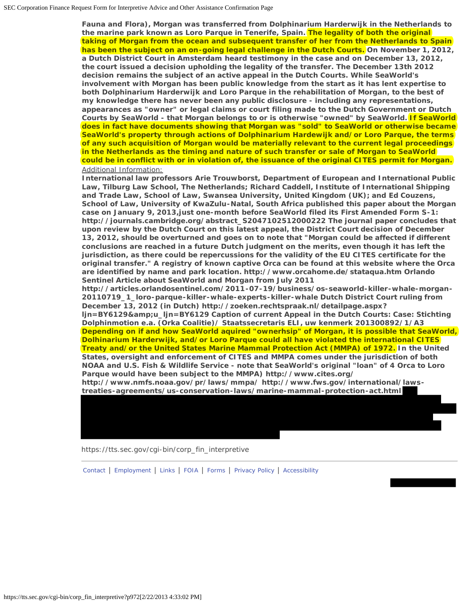**Fauna and Flora), Morgan was transferred from Dolphinarium Harderwijk in the Netherlands to the marine park known as Loro Parque in Tenerife, Spain. The legality of both the original taking of Morgan from the ocean and subsequent transfer of her from the Netherlands to Spain has been the subject on an on-going legal challenge in the Dutch Courts. On November 1, 2012, a Dutch District Court in Amsterdam heard testimony in the case and on December 13, 2012, the court issued a decision upholding the legality of the transfer. The December 13th 2012 decision remains the subject of an active appeal in the Dutch Courts. While SeaWorld's involvement with Morgan has been public knowledge from the start as it has lent expertise to both Dolphinarium Harderwijk and Loro Parque in the rehabilitation of Morgan, to the best of my knowledge there has never been any public disclosure - including any representations, appearances as "owner" or legal claims or court filing made to the Dutch Government or Dutch Courts by SeaWorld - that Morgan belongs to or is otherwise "owned" by SeaWorld. If SeaWorld does in fact have documents showing that Morgan was "sold" to SeaWorld or otherwise became SeaWorld's property through actions of Dolphinarium Hardewijk and/or Loro Parque, the terms of any such acquisition of Morgan would be materially relevant to the current legal proceedings in the Netherlands as the timing and nature of such transfer or sale of Morgan to SeaWorld could be in conflict with or in violation of, the issuance of the original CITES permit for Morgan.** Additional Information:

**International law professors Arie Trouwborst, Department of European and International Public Law, Tilburg Law School, The Netherlands; Richard Caddell, Institute of International Shipping and Trade Law, School of Law, Swansea University, United Kingdom (UK); and Ed Couzens, School of Law, University of KwaZulu-Natal, South Africa published this paper about the Morgan case on January 9, 2013,just one-month before SeaWorld filed its First Amended Form S-1: http://journals.cambridge.org/abstract\_S2047102512000222 The journal paper concludes that upon review by the Dutch Court on this latest appeal, the District Court decision of December 13, 2012, should be overturned and goes on to note that "Morgan could be affected if different conclusions are reached in a future Dutch judgment on the merits, even though it has left the jurisdiction, as there could be repercussions for the validity of the EU CITES certificate for the**

**original transfer." A registry of known captive Orca can be found at this website where the Orca are identified by name and park location. http://www.orcahome.de/stataqua.htm Orlando Sentinel Article about SeaWorld and Morgan from July 2011 http://articles.orlandosentinel.com/2011-07-19/business/os-seaworld-killer-whale-morgan-20110719\_1\_loro-parque-killer-whale-experts-killer-whale Dutch District Court ruling from**

**December 13, 2012 (in Dutch) http://zoeken.rechtspraak.nl/detailpage.aspx?** ljn=BY6129&u\_ljn=BY6129 Caption of current Appeal in the Dutch Courts: Case: Stichting **Dolphinmotion e.a. (Orka Coalitie)/ Staatssecretaris ELI, uw kenmerk 201300892/1/A3 Depending on if and how SeaWorld aquired "ownerhsip" of Morgan, it is possible that SeaWorld, Dolhinarium Harderwijk, and/or Loro Parque could all have violated the international CITES**

**Treaty and/or the United States Marine Mammal Protection Act (MMPA) of 1972. In the United States, oversight and enforcement of CITES and MMPA comes under the jurisdiction of both NOAA and U.S. Fish & Wildlife Service - note that SeaWorld's original "loan" of 4 Orca to Loro Parque would have been subject to the MMPA) http://www.cites.org/**

**http://www.nmfs.noaa.gov/pr/laws/mmpa/ http://www.fws.gov/international/lawstreaties-agreements/us-conservation-laws/marine-mammal-protection-act.html** 

*https://tts.sec.gov/cgi-bin/corp\_fin\_interpretive*

[Contact](#page-0-0) | [Employment](#page-0-0) | [Links](#page-0-0) | [FOIA](#page-0-0) | [Forms](#page-0-0) | [Privacy Policy](#page-0-0) | [Accessibility](#page-0-0)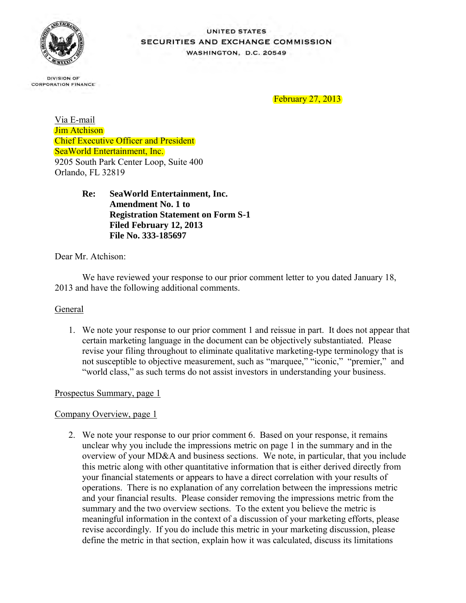

### UNITED STATES SECURITIES AND EXCHANGE COMMISSION **WASHINGTON, D.C. 20549**

**DIVISION OF CORPORATION FINANCE** 

February 27, 2013

Via E-mail Jim Atchison Chief Executive Officer and President SeaWorld Entertainment, Inc. 9205 South Park Center Loop, Suite 400 Orlando, FL 32819

> **Re: SeaWorld Entertainment, Inc. Amendment No. 1 to Registration Statement on Form S-1 Filed February 12, 2013 File No. 333-185697**

Dear Mr. Atchison:

We have reviewed your response to our prior comment letter to you dated January 18, 2013 and have the following additional comments.

### **General**

1. We note your response to our prior comment 1 and reissue in part. It does not appear that certain marketing language in the document can be objectively substantiated. Please revise your filing throughout to eliminate qualitative marketing-type terminology that is not susceptible to objective measurement, such as "marquee," "iconic," "premier," and "world class," as such terms do not assist investors in understanding your business.

### Prospectus Summary, page 1

# Company Overview, page 1

2. We note your response to our prior comment 6. Based on your response, it remains unclear why you include the impressions metric on page 1 in the summary and in the overview of your MD&A and business sections. We note, in particular, that you include this metric along with other quantitative information that is either derived directly from your financial statements or appears to have a direct correlation with your results of operations. There is no explanation of any correlation between the impressions metric and your financial results. Please consider removing the impressions metric from the summary and the two overview sections. To the extent you believe the metric is meaningful information in the context of a discussion of your marketing efforts, please revise accordingly. If you do include this metric in your marketing discussion, please define the metric in that section, explain how it was calculated, discuss its limitations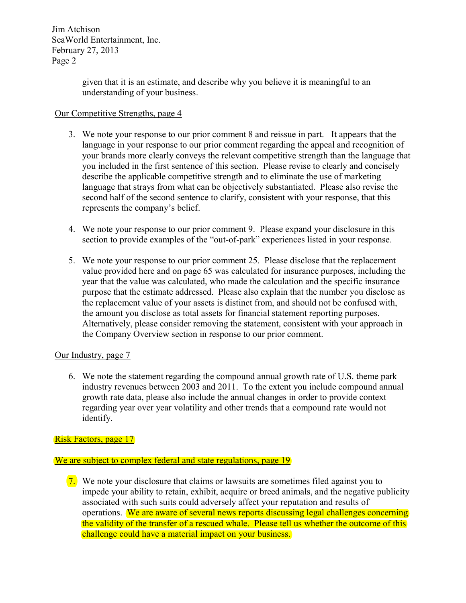Jim Atchison SeaWorld Entertainment, Inc. February 27, 2013 Page 2

> given that it is an estimate, and describe why you believe it is meaningful to an understanding of your business.

# Our Competitive Strengths, page 4

- 3. We note your response to our prior comment 8 and reissue in part. It appears that the language in your response to our prior comment regarding the appeal and recognition of your brands more clearly conveys the relevant competitive strength than the language that you included in the first sentence of this section. Please revise to clearly and concisely describe the applicable competitive strength and to eliminate the use of marketing language that strays from what can be objectively substantiated. Please also revise the second half of the second sentence to clarify, consistent with your response, that this represents the company's belief.
- 4. We note your response to our prior comment 9. Please expand your disclosure in this section to provide examples of the "out-of-park" experiences listed in your response.
- 5. We note your response to our prior comment 25. Please disclose that the replacement value provided here and on page 65 was calculated for insurance purposes, including the year that the value was calculated, who made the calculation and the specific insurance purpose that the estimate addressed. Please also explain that the number you disclose as the replacement value of your assets is distinct from, and should not be confused with, the amount you disclose as total assets for financial statement reporting purposes. Alternatively, please consider removing the statement, consistent with your approach in the Company Overview section in response to our prior comment.

### Our Industry, page 7

6. We note the statement regarding the compound annual growth rate of U.S. theme park industry revenues between 2003 and 2011. To the extent you include compound annual growth rate data, please also include the annual changes in order to provide context regarding year over year volatility and other trends that a compound rate would not identify.

### Risk Factors, page 17

### We are subject to complex federal and state regulations, page 19

7. We note your disclosure that claims or lawsuits are sometimes filed against you to impede your ability to retain, exhibit, acquire or breed animals, and the negative publicity associated with such suits could adversely affect your reputation and results of operations. We are aware of several news reports discussing legal challenges concerning the validity of the transfer of a rescued whale. Please tell us whether the outcome of this challenge could have a material impact on your business.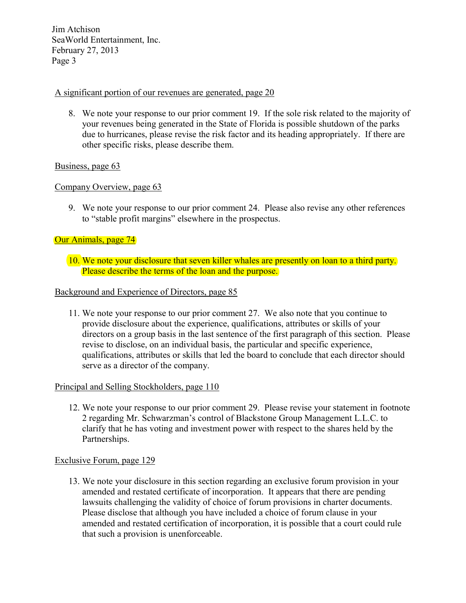Jim Atchison SeaWorld Entertainment, Inc. February 27, 2013 Page 3

# A significant portion of our revenues are generated, page 20

8. We note your response to our prior comment 19. If the sole risk related to the majority of your revenues being generated in the State of Florida is possible shutdown of the parks due to hurricanes, please revise the risk factor and its heading appropriately. If there are other specific risks, please describe them.

# Business, page 63

# Company Overview, page 63

9. We note your response to our prior comment 24. Please also revise any other references to "stable profit margins" elsewhere in the prospectus.

# Our Animals, page 74

10. We note your disclosure that seven killer whales are presently on loan to a third party. Please describe the terms of the loan and the purpose.

### Background and Experience of Directors, page 85

11. We note your response to our prior comment 27. We also note that you continue to provide disclosure about the experience, qualifications, attributes or skills of your directors on a group basis in the last sentence of the first paragraph of this section. Please revise to disclose, on an individual basis, the particular and specific experience, qualifications, attributes or skills that led the board to conclude that each director should serve as a director of the company.

### Principal and Selling Stockholders, page 110

12. We note your response to our prior comment 29. Please revise your statement in footnote 2 regarding Mr. Schwarzman's control of Blackstone Group Management L.L.C. to clarify that he has voting and investment power with respect to the shares held by the Partnerships.

### Exclusive Forum, page 129

13. We note your disclosure in this section regarding an exclusive forum provision in your amended and restated certificate of incorporation. It appears that there are pending lawsuits challenging the validity of choice of forum provisions in charter documents. Please disclose that although you have included a choice of forum clause in your amended and restated certification of incorporation, it is possible that a court could rule that such a provision is unenforceable.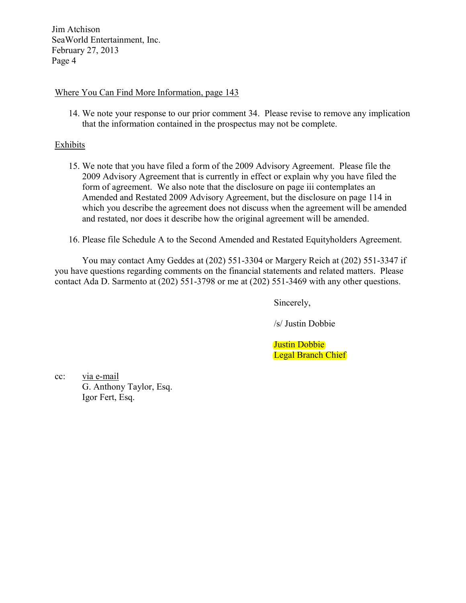Jim Atchison SeaWorld Entertainment, Inc. February 27, 2013 Page 4

### Where You Can Find More Information, page 143

14. We note your response to our prior comment 34. Please revise to remove any implication that the information contained in the prospectus may not be complete.

### **Exhibits**

- 15. We note that you have filed a form of the 2009 Advisory Agreement. Please file the 2009 Advisory Agreement that is currently in effect or explain why you have filed the form of agreement. We also note that the disclosure on page iii contemplates an Amended and Restated 2009 Advisory Agreement, but the disclosure on page 114 in which you describe the agreement does not discuss when the agreement will be amended and restated, nor does it describe how the original agreement will be amended.
- 16. Please file Schedule A to the Second Amended and Restated Equityholders Agreement.

You may contact Amy Geddes at (202) 551-3304 or Margery Reich at (202) 551-3347 if you have questions regarding comments on the financial statements and related matters. Please contact Ada D. Sarmento at (202) 551-3798 or me at (202) 551-3469 with any other questions.

Sincerely,

/s/ Justin Dobbie

Justin Dobbie Legal Branch Chief

cc: via e-mail G. Anthony Taylor, Esq. Igor Fert, Esq.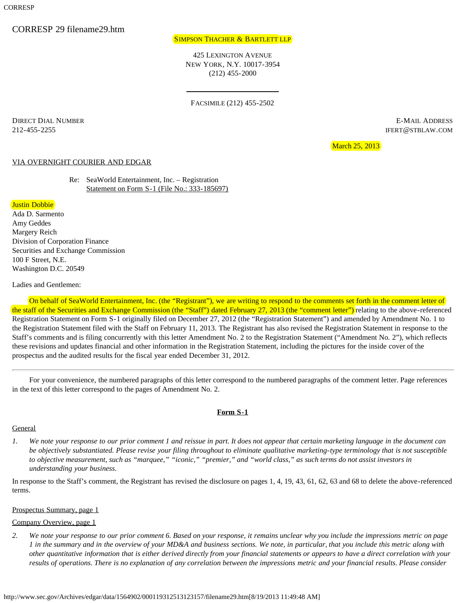# CORRESP 29 filename29.htm

### SIMPSON THACHER & BARTLETT LLP

425 LEXINGTON AVENUE NEW YORK, N.Y. 10017-3954 (212) 455-2000

FACSIMILE (212) 455-2502

DIRECT DIAL NUMBER E-MAIL ADDRESS 212-455-2255 IFERT@STBLAW.COM

March 25, 2013

### VIA OVERNIGHT COURIER AND EDGAR

Re: SeaWorld Entertainment, Inc. – Registration Statement on Form S-1 (File No.: 333-185697)

### Justin Dobbie

Ada D. Sarmento Amy Geddes Margery Reich Division of Corporation Finance Securities and Exchange Commission 100 F Street, N.E. Washington D.C. 20549

Ladies and Gentlemen:

On behalf of SeaWorld Entertainment, Inc. (the "Registrant"), we are writing to respond to the comments set forth in the comment letter of the staff of the Securities and Exchange Commission (the "Staff") dated February 27, 2013 (the "comment letter") relating to the above-referenced Registration Statement on Form S-1 originally filed on December 27, 2012 (the "Registration Statement") and amended by Amendment No. 1 to the Registration Statement filed with the Staff on February 11, 2013. The Registrant has also revised the Registration Statement in response to the Staff's comments and is filing concurrently with this letter Amendment No. 2 to the Registration Statement ("Amendment No. 2"), which reflects these revisions and updates financial and other information in the Registration Statement, including the pictures for the inside cover of the prospectus and the audited results for the fiscal year ended December 31, 2012.

For your convenience, the numbered paragraphs of this letter correspond to the numbered paragraphs of the comment letter. Page references in the text of this letter correspond to the pages of Amendment No. 2.

#### **Form S-1**

### **General**

*1. We note your response to our prior comment 1 and reissue in part. It does not appear that certain marketing language in the document can be objectively substantiated. Please revise your filing throughout to eliminate qualitative marketing-type terminology that is not susceptible to objective measurement, such as "marquee," "iconic," "premier," and "world class," as such terms do not assist investors in understanding your business.*

In response to the Staff's comment, the Registrant has revised the disclosure on pages 1, 4, 19, 43, 61, 62, 63 and 68 to delete the above-referenced terms.

#### Prospectus Summary, page 1

#### Company Overview, page 1

*2. We note your response to our prior comment 6. Based on your response, it remains unclear why you include the impressions metric on page 1 in the summary and in the overview of your MD&A and business sections. We note, in particular, that you include this metric along with other quantitative information that is either derived directly from your financial statements or appears to have a direct correlation with your results of operations. There is no explanation of any correlation between the impressions metric and your financial results. Please consider*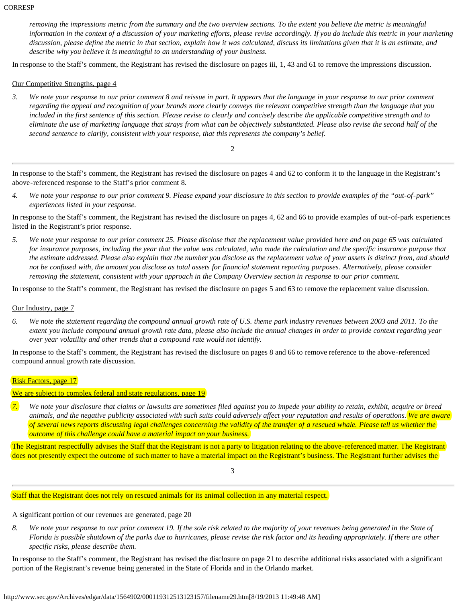*removing the impressions metric from the summary and the two overview sections. To the extent you believe the metric is meaningful information in the context of a discussion of your marketing efforts, please revise accordingly. If you do include this metric in your marketing discussion, please define the metric in that section, explain how it was calculated, discuss its limitations given that it is an estimate, and describe why you believe it is meaningful to an understanding of your business.*

In response to the Staff's comment, the Registrant has revised the disclosure on pages iii, 1, 43 and 61 to remove the impressions discussion.

### Our Competitive Strengths, page 4

*3. We note your response to our prior comment 8 and reissue in part. It appears that the language in your response to our prior comment regarding the appeal and recognition of your brands more clearly conveys the relevant competitive strength than the language that you included in the first sentence of this section. Please revise to clearly and concisely describe the applicable competitive strength and to eliminate the use of marketing language that strays from what can be objectively substantiated. Please also revise the second half of the second sentence to clarify, consistent with your response, that this represents the company's belief.*

2

In response to the Staff's comment, the Registrant has revised the disclosure on pages 4 and 62 to conform it to the language in the Registrant's above-referenced response to the Staff's prior comment 8.

*4. We note your response to our prior comment 9. Please expand your disclosure in this section to provide examples of the "out-of-park" experiences listed in your response.*

In response to the Staff's comment, the Registrant has revised the disclosure on pages 4, 62 and 66 to provide examples of out-of-park experiences listed in the Registrant's prior response.

*5. We note your response to our prior comment 25. Please disclose that the replacement value provided here and on page 65 was calculated for insurance purposes, including the year that the value was calculated, who made the calculation and the specific insurance purpose that the estimate addressed. Please also explain that the number you disclose as the replacement value of your assets is distinct from, and should not be confused with, the amount you disclose as total assets for financial statement reporting purposes. Alternatively, please consider removing the statement, consistent with your approach in the Company Overview section in response to our prior comment.*

In response to the Staff's comment, the Registrant has revised the disclosure on pages 5 and 63 to remove the replacement value discussion.

#### Our Industry, page 7

*6. We note the statement regarding the compound annual growth rate of U.S. theme park industry revenues between 2003 and 2011. To the extent you include compound annual growth rate data, please also include the annual changes in order to provide context regarding year over year volatility and other trends that a compound rate would not identify.*

In response to the Staff's comment, the Registrant has revised the disclosure on pages 8 and 66 to remove reference to the above-referenced compound annual growth rate discussion.

### Risk Factors, page 17

We are subject to complex federal and state regulations, page 19

*7. We note your disclosure that claims or lawsuits are sometimes filed against you to impede your ability to retain, exhibit, acquire or breed animals, and the negative publicity associated with such suits could adversely affect your reputation and results of operations. We are aware of several news reports discussing legal challenges concerning the validity of the transfer of a rescued whale. Please tell us whether the outcome of this challenge could have a material impact on your business.*

The Registrant respectfully advises the Staff that the Registrant is not a party to litigation relating to the above-referenced matter. The Registrant does not presently expect the outcome of such matter to have a material impact on the Registrant's business. The Registrant further advises the

3

Staff that the Registrant does not rely on rescued animals for its animal collection in any material respect.

### A significant portion of our revenues are generated, page 20

*8. We note your response to our prior comment 19. If the sole risk related to the majority of your revenues being generated in the State of Florida is possible shutdown of the parks due to hurricanes, please revise the risk factor and its heading appropriately. If there are other specific risks, please describe them.*

In response to the Staff's comment, the Registrant has revised the disclosure on page 21 to describe additional risks associated with a significant portion of the Registrant's revenue being generated in the State of Florida and in the Orlando market.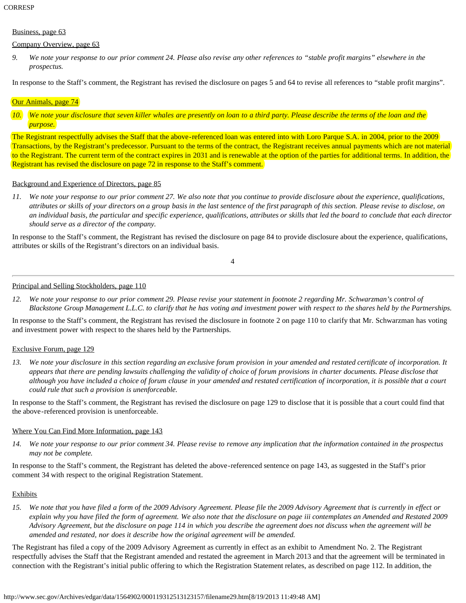### Business, page 63

### Company Overview, page 63

*9. We note your response to our prior comment 24. Please also revise any other references to "stable profit margins" elsewhere in the prospectus.*

In response to the Staff's comment, the Registrant has revised the disclosure on pages 5 and 64 to revise all references to "stable profit margins".

# Our Animals, page 74

*10. We note your disclosure that seven killer whales are presently on loan to a third party. Please describe the terms of the loan and the purpose.*

The Registrant respectfully advises the Staff that the above-referenced loan was entered into with Loro Parque S.A. in 2004, prior to the 2009 Transactions, by the Registrant's predecessor. Pursuant to the terms of the contract, the Registrant receives annual payments which are not material to the Registrant. The current term of the contract expires in 2031 and is renewable at the option of the parties for additional terms. In addition, the Registrant has revised the disclosure on page 72 in response to the Staff's comment.

# Background and Experience of Directors, page 85

*11. We note your response to our prior comment 27. We also note that you continue to provide disclosure about the experience, qualifications, attributes or skills of your directors on a group basis in the last sentence of the first paragraph of this section. Please revise to disclose, on an individual basis, the particular and specific experience, qualifications, attributes or skills that led the board to conclude that each director should serve as a director of the company.*

In response to the Staff's comment, the Registrant has revised the disclosure on page 84 to provide disclosure about the experience, qualifications, attributes or skills of the Registrant's directors on an individual basis.

4

### Principal and Selling Stockholders, page 110

*12. We note your response to our prior comment 29. Please revise your statement in footnote 2 regarding Mr. Schwarzman's control of Blackstone Group Management L.L.C. to clarify that he has voting and investment power with respect to the shares held by the Partnerships.*

In response to the Staff's comment, the Registrant has revised the disclosure in footnote 2 on page 110 to clarify that Mr. Schwarzman has voting and investment power with respect to the shares held by the Partnerships.

### Exclusive Forum, page 129

*13. We note your disclosure in this section regarding an exclusive forum provision in your amended and restated certificate of incorporation. It appears that there are pending lawsuits challenging the validity of choice of forum provisions in charter documents. Please disclose that although you have included a choice of forum clause in your amended and restated certification of incorporation, it is possible that a court could rule that such a provision is unenforceable.*

In response to the Staff's comment, the Registrant has revised the disclosure on page 129 to disclose that it is possible that a court could find that the above-referenced provision is unenforceable.

### Where You Can Find More Information, page 143

*14. We note your response to our prior comment 34. Please revise to remove any implication that the information contained in the prospectus may not be complete.*

In response to the Staff's comment, the Registrant has deleted the above-referenced sentence on page 143, as suggested in the Staff's prior comment 34 with respect to the original Registration Statement.

### **Exhibits**

*15. We note that you have filed a form of the 2009 Advisory Agreement. Please file the 2009 Advisory Agreement that is currently in effect or explain why you have filed the form of agreement. We also note that the disclosure on page iii contemplates an Amended and Restated 2009 Advisory Agreement, but the disclosure on page 114 in which you describe the agreement does not discuss when the agreement will be amended and restated, nor does it describe how the original agreement will be amended.*

The Registrant has filed a copy of the 2009 Advisory Agreement as currently in effect as an exhibit to Amendment No. 2. The Registrant respectfully advises the Staff that the Registrant amended and restated the agreement in March 2013 and that the agreement will be terminated in connection with the Registrant's initial public offering to which the Registration Statement relates, as described on page 112. In addition, the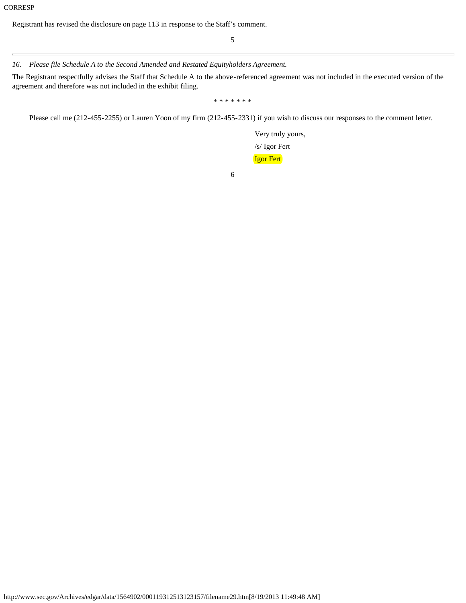Registrant has revised the disclosure on page 113 in response to the Staff's comment.

5

### *16. Please file Schedule A to the Second Amended and Restated Equityholders Agreement.*

The Registrant respectfully advises the Staff that Schedule A to the above-referenced agreement was not included in the executed version of the agreement and therefore was not included in the exhibit filing.

\* \* \* \* \* \* \*

Please call me (212-455-2255) or Lauren Yoon of my firm (212-455-2331) if you wish to discuss our responses to the comment letter.

Very truly yours, /s/ Igor Fert Igor Fert

6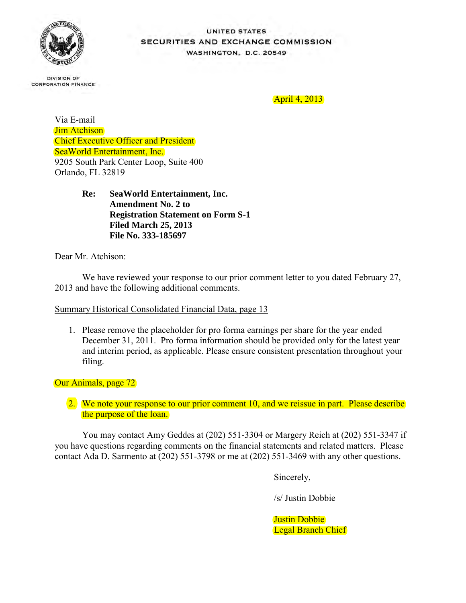

### UNITED STATES SECURITIES AND EXCHANGE COMMISSION **WASHINGTON, D.C. 20549**

**DIVISION OF CORPORATION FINANCE** 

April 4, 2013

Via E-mail Jim Atchison Chief Executive Officer and President SeaWorld Entertainment, Inc. 9205 South Park Center Loop, Suite 400 Orlando, FL 32819

> **Re: SeaWorld Entertainment, Inc. Amendment No. 2 to Registration Statement on Form S-1 Filed March 25, 2013 File No. 333-185697**

Dear Mr. Atchison:

We have reviewed your response to our prior comment letter to you dated February 27, 2013 and have the following additional comments.

Summary Historical Consolidated Financial Data, page 13

1. Please remove the placeholder for pro forma earnings per share for the year ended December 31, 2011. Pro forma information should be provided only for the latest year and interim period, as applicable. Please ensure consistent presentation throughout your filing.

Our Animals, page 72

2. We note your response to our prior comment 10, and we reissue in part. Please describe the purpose of the loan.

You may contact Amy Geddes at (202) 551-3304 or Margery Reich at (202) 551-3347 if you have questions regarding comments on the financial statements and related matters. Please contact Ada D. Sarmento at (202) 551-3798 or me at (202) 551-3469 with any other questions.

Sincerely,

/s/ Justin Dobbie

Justin Dobbie Legal Branch Chief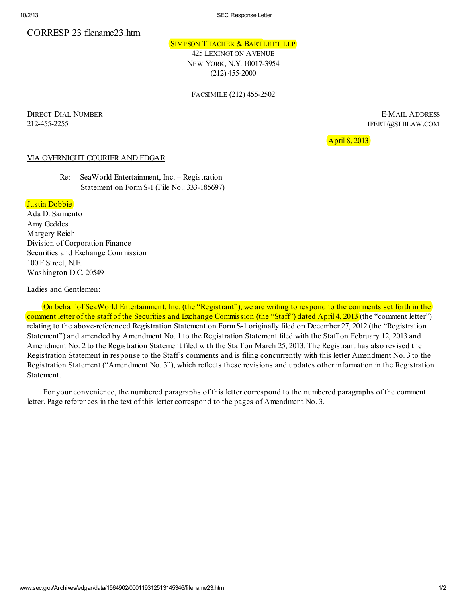10/2/13 SEC Response Letter

# CORRESP 23 filename23.htm

### SIMPSON THACHER & BARTLETT LLP

425 LEXINGTON AVENUE NEW YORK, N.Y. 10017-3954 (212) 455-2000

FACSIMILE (212) 455-2502

DIRECT DIAL NUMBER E-MAIL ADDRESS 212-455-2255 IFERT@STBLAW.COM

April 8, 2013

### VIA OVERNIGHT COURIER AND EDGAR

Re: SeaWorld Entertainment, Inc. – Registration Statement on Form S-1 (File No.: 333-185697)

### Justin Dobbie

Ada D. Sarmento Amy Geddes Margery Reich Division of Corporation Finance Securities and Exchange Commission 100 F Street, N.E. Washington D.C. 20549

Ladies and Gentlemen:

On behalf of SeaWorld Entertainment, Inc. (the "Registrant"), we are writing to respond to the comments set forth in the comment letter of the staff of the Securities and Exchange Commission (the "Staff") dated April 4, 2013 (the "comment letter") relating to the above-referenced Registration Statement on Form S-1 originally filed on December 27, 2012 (the "Registration Statement") and amended by Amendment No. 1 to the Registration Statement filed with the Staff on February 12, 2013 and Amendment No. 2 to the Registration Statement filed with the Staff on March 25, 2013. The Registrant has also revised the Registration Statement in response to the Staff's comments and is filing concurrently with this letter Amendment No. 3 to the Registration Statement ("Amendment No. 3"), which reflects these revisions and updates other information in the Registration Statement.

For your convenience, the numbered paragraphs of this letter correspond to the numbered paragraphs of the comment letter. Page references in the text of this letter correspond to the pages of Amendment No. 3.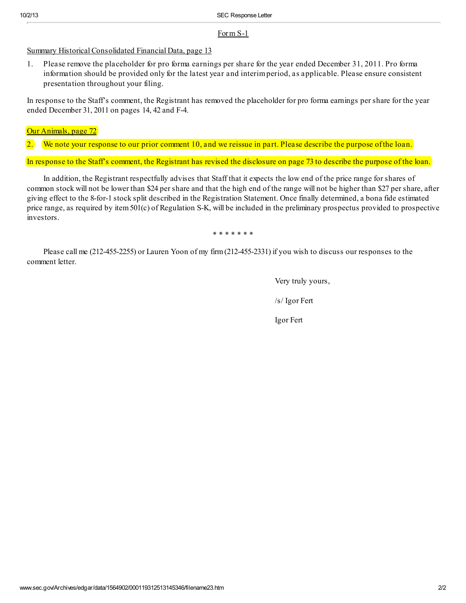### For m S-1

Summary Historical Consolidated Financial Data, page 13

1. Please remove the placeholder for pro forma earnings per share for the year ended December 31, 2011. Pro forma information should be provided only for the latest year and interim period, as applicable. Please ensure consistent presentation throughout your filing.

In response to the Staff's comment, the Registrant has removed the placeholder for pro forma earnings per share for the year ended December 31, 2011 on pages 14, 42 and F-4.

Our Animals, page 72

2. We note your response to our prior comment 10, and we reissue in part. Please describe the purpose of the loan.

In response to the Staff's comment, the Registrant has revised the disclosure on page 73 to describe the purpose of the loan.

In addition, the Registrant respectfully advises that Staff that it expects the low end of the price range for shares of common stock will not be lower than \$24 per share and that the high end of the range will not be higher than \$27 per share, after giving effect to the 8-for-1 stock split described in the Registration Statement. Once finally determined, a bona fide estimated price range, as required by item 501(c) of Regulation S-K, will be included in the preliminary prospectus provided to prospective investors.

\* \* \* \* \* \* \*

Please call me (212-455-2255) or Lauren Yoon of my firm (212-455-2331) if you wish to discuss our responses to the comment letter.

Very truly yours,

/s/ Igor Fert

Igor Fert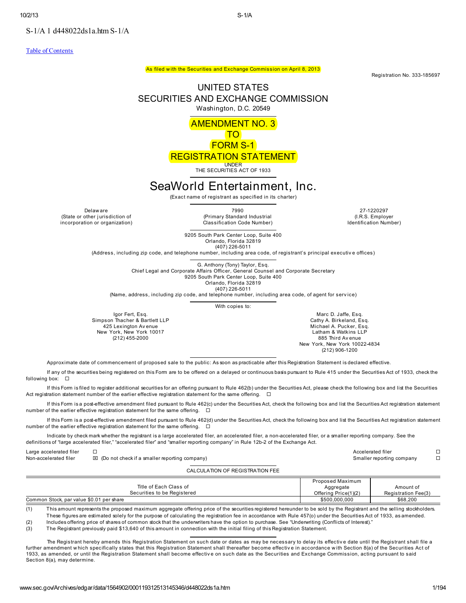S-1/A 1 d448022ds1a.htm S-1/A

Table of Contents

Registration No. 333-185697

### UNITED STATES SECURITIES AND EXCHANGE COMMISSION Washington, D.C. 20549

As filed with the Securities and Exchange Commission on April 8, 2013

AMENDMENT NO. 3

TO FORM S-1

# REGISTRATION STATEMENT

UNDER THE SECURITIES ACT OF 1933

# SeaWorld Entertainment, Inc.

(Exact name of registrant as specified in its charter)

Delaware<br>(State or other jurisdiction of incorporation or organization)

Delaw are <sup>7990</sup> 27-1220297 (Primary Standard Industrial Classification Code Number)

(I.R.S. Employer Identification Number)

9205 South Park Center Loop, Suite 400 Orlando, Florida 32819 (407) 226-5011

(Address, including zip code, and telephone number, including area code, of registrant's principal executiv e offices)

G. Anthony (Tony) Taylor, Esq. Chief Legal and Corporate Affairs Officer, General Counsel and Corporate Secretary 9205 South Park Center Loop, Suite 400

Orlando, Florida 32819 (407) 226-5011

(Name, address, including zip code, and telephone number, including area code, of agent for serv ice)

With copies to:

Igor Fert, Esq. Simpson Thacher & Bartlett LLP 425 Lexington Av enue New York, New York 10017 (212) 455-2000

Marc D. Jaffe, Esq. Cathy A. Birkeland, Esq. Michael A. Pucker, Esq. Latham & Watkins LLP 885 Third Av enue New York, New York 10022-4834 (212) 906-1200

Approximate date of commencement of proposed sale to the public: As soon as practicable after this Registration Statement is declared effective.

If any of the securities being registered on this Form are to be offered on a delayed or continuous basis pursuant to Rule 415 under the Securities Act of 1933, check the following box:

If this Form is filed to register additional securities for an offering pursuant to Rule 462(b) under the Securities Act, please check the following box and list the Securities Act registration statement number of the earlier effective registration statement for the same offering.  $\Box$ 

If this Form is a post-effective amendment filed pursuant to Rule 462(c) under the Securities Act, check the following box and list the Securities Act registration statement number of the earlier effective registration statement for the same offering.  $\Box$ 

If this Form is a post-effective amendment filed pursuant to Rule 462(d) under the Securities Act, check the following box and list the Securities Act registration statement number of the earlier effective registration statement for the same offering.  $\Box$ 

Indicate by check mark whether the registrant is a large accelerated filer, an accelerated filer, a non-accelerated filer, or a smaller reporting company. See the definitions of "large accelerated filer," "accelerated filer" and "smaller reporting company" in Rule 12b-2 of the Exchange Act.

Large accelerated filer  $\hfill\Box$ 

Non-accelerated filer (Do not check if a smaller reporting company) Smaller reporting company

CALCULATION OF REGISTRATION FEE

| Title of Each Class of<br>Securities to be Registered | Proposed Maximum<br>Aggregate<br>Offering Price(1)(2) | Amount of<br>Registration Fee(3) |
|-------------------------------------------------------|-------------------------------------------------------|----------------------------------|
| Common Stock, par value \$0.01 per share              | \$500,000,000                                         | \$68,200                         |

(1) This amount represents the proposed maximum aggregate offering price of the securities registered hereunder to be sold by the Registrant and the selling stockholders. These figures are estimated solely for the purpose of calculating the registration fee in accordance with Rule 457(o) under the Securities Act of 1933, as amended.

(2) Includes offering price of shares of common stock that the underwriters have the option to purchase. See "Underwriting (Conflicts of Interest)."<br>(3) The Registrant previously paid \$13.640 of this amount in connection w

The Registrant previously paid \$13,640 of this amount in connection with the initial filing of this Registration Statement.

The Registrant hereby amends this Registration Statement on such date or dates as may be necessary to delay its effective date until the Registrant shall file a further amendment w hich specifically states that this Registration Statement shall thereafter become effectiv e in accordance w ith Section 8(a) of the Securities Act of 1933, as amended, or until the Registration Statement shall become effectiv e on such date as the Securities and Exchange Commission, acting pursuant to said Section 8(a), may determine.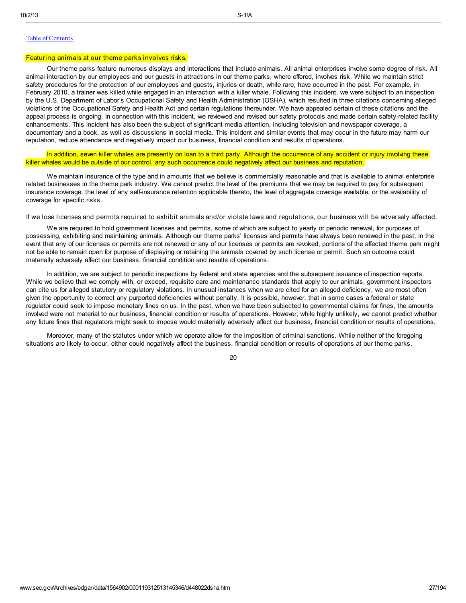### Table of Contents

#### Featuring animals at our theme parks involves risks.

Our theme parks feature numerous displays and interactions that include animals. All animal enterprises involve some degree of risk. All animal interaction by our employees and our guests in attractions in our theme parks, where offered, involves risk. While we maintain strict safety procedures for the protection of our employees and guests, injuries or death, while rare, have occurred in the past. For example, in February 2010, a trainer was killed while engaged in an interaction with a killer whale. Following this incident, we were subject to an inspection by the U.S. Department of Labor's Occupational Safety and Health Administration (OSHA), which resulted in three citations concerning alleged violations of the Occupational Safety and Health Act and certain regulations thereunder. We have appealed certain of these citations and the appeal process is ongoing. In connection with this incident, we reviewed and revised our safety protocols and made certain safety-related facility enhancements. This incident has also been the subject of significant media attention, including television and newspaper coverage, a documentary and a book, as well as discussions in social media. This incident and similar events that may occur in the future may harm our reputation, reduce attendance and negatively impact our business, financial condition and results of operations.

In addition, seven killer whales are presently on loan to a third party. Although the occurrence of any accident or injury involving these killer whales would be outside of our control, any such occurrence could negatively affect our business and reputation.

We maintain insurance of the type and in amounts that we believe is commercially reasonable and that is available to animal enterprise related businesses in the theme park industry. We cannot predict the level of the premiums that we may be required to pay for subsequent insurance coverage, the level of any self-insurance retention applicable thereto, the level of aggregate coverage available, or the availability of coverage for specific risks.

If we lose licenses and permits required to exhibit animals and/or violate laws and regulations, our business will be adversely affected.

We are required to hold government licenses and permits, some of which are subject to yearly or periodic renewal, for purposes of possessing, exhibiting and maintaining animals. Although our theme parks' licenses and permits have always been renewed in the past, in the event that any of our licenses or permits are not renewed or any of our licenses or permits are revoked, portions of the affected theme park might not be able to remain open for purpose of displaying or retaining the animals covered by such license or permit. Such an outcome could materially adversely affect our business, financial condition and results of operations.

In addition, we are subject to periodic inspections by federal and state agencies and the subsequent issuance of inspection reports. While we believe that we comply with, or exceed, requisite care and maintenance standards that apply to our animals, government inspectors can cite us for alleged statutory or regulatory violations. In unusual instances when we are cited for an alleged deficiency, we are most often given the opportunity to correct any purported deficiencies without penalty. It is possible, however, that in some cases a federal or state regulator could seek to impose monetary fines on us. In the past, when we have been subjected to governmental claims for fines, the amounts involved were not material to our business, financial condition or results of operations. However, while highly unlikely, we cannot predict whether any future fines that regulators might seek to impose would materially adversely affect our business, financial condition or results of operations.

Moreover, many of the statutes under which we operate allow for the imposition of criminal sanctions. While neither of the foregoing situations are likely to occur, either could negatively affect the business, financial condition or results of operations at our theme parks.

20